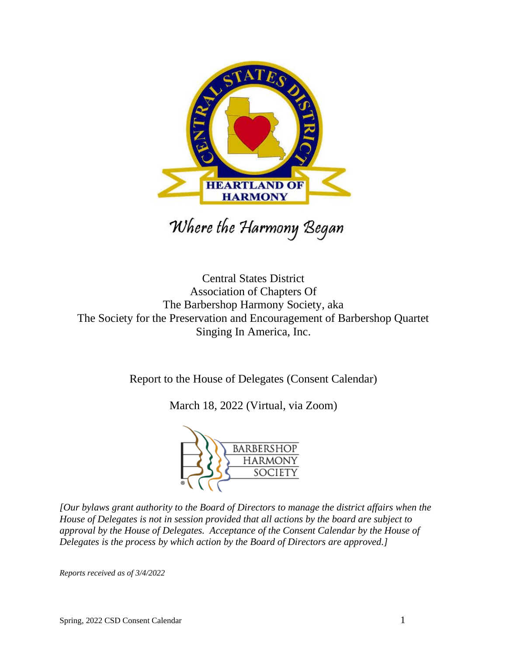

Where the Harmony Began

Central States District Association of Chapters Of The Barbershop Harmony Society, aka The Society for the Preservation and Encouragement of Barbershop Quartet Singing In America, Inc.

Report to the House of Delegates (Consent Calendar)

March 18, 2022 (Virtual, via Zoom)



*[Our bylaws grant authority to the Board of Directors to manage the district affairs when the House of Delegates is not in session provided that all actions by the board are subject to approval by the House of Delegates. Acceptance of the Consent Calendar by the House of Delegates is the process by which action by the Board of Directors are approved.]*

*Reports received as of 3/4/2022*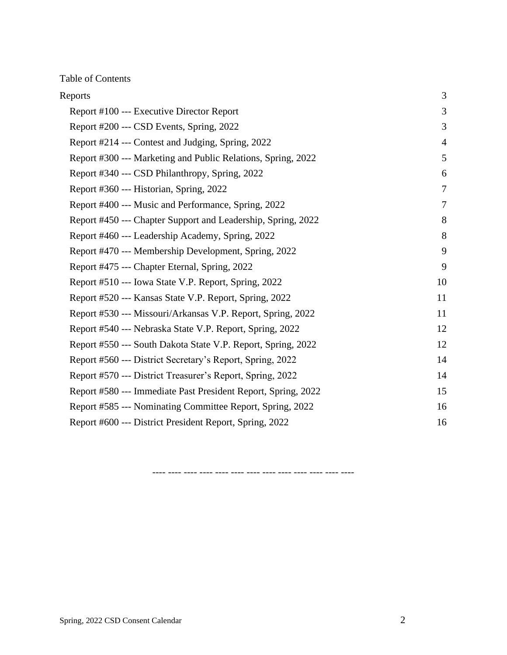Table of Contents

| Reports                                                       | 3              |
|---------------------------------------------------------------|----------------|
| Report #100 --- Executive Director Report                     | 3              |
| Report #200 --- CSD Events, Spring, 2022                      | 3              |
| Report #214 --- Contest and Judging, Spring, 2022             | 4              |
| Report #300 --- Marketing and Public Relations, Spring, 2022  | 5              |
| Report #340 --- CSD Philanthropy, Spring, 2022                | 6              |
| Report #360 --- Historian, Spring, 2022                       | $\overline{7}$ |
| Report #400 --- Music and Performance, Spring, 2022           | 7              |
| Report #450 --- Chapter Support and Leadership, Spring, 2022  | 8              |
| Report #460 --- Leadership Academy, Spring, 2022              | 8              |
| Report #470 --- Membership Development, Spring, 2022          | 9              |
| Report #475 --- Chapter Eternal, Spring, 2022                 | 9              |
| Report #510 --- Iowa State V.P. Report, Spring, 2022          | 10             |
| Report #520 --- Kansas State V.P. Report, Spring, 2022        | 11             |
| Report #530 --- Missouri/Arkansas V.P. Report, Spring, 2022   | 11             |
| Report #540 --- Nebraska State V.P. Report, Spring, 2022      | 12             |
| Report #550 --- South Dakota State V.P. Report, Spring, 2022  | 12             |
| Report #560 --- District Secretary's Report, Spring, 2022     | 14             |
| Report #570 --- District Treasurer's Report, Spring, 2022     | 14             |
| Report #580 --- Immediate Past President Report, Spring, 2022 | 15             |
| Report #585 --- Nominating Committee Report, Spring, 2022     | 16             |
| Report #600 --- District President Report, Spring, 2022       | 16             |

---- ---- ---- ---- ---- ---- ---- ---- ---- ---- ---- ---- ----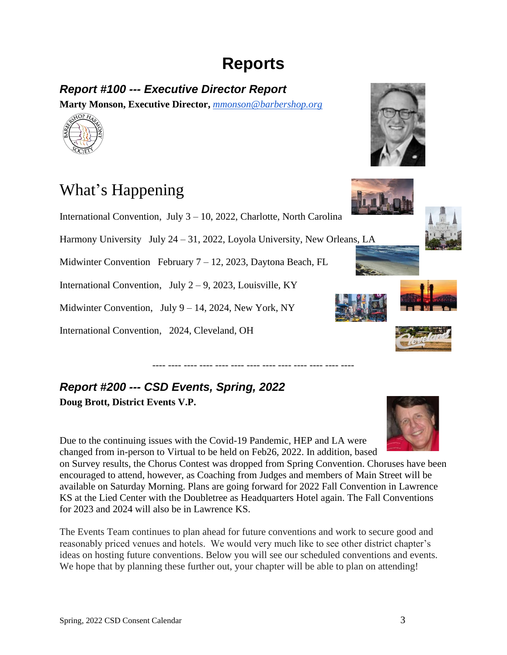# **Reports**

# <span id="page-2-1"></span><span id="page-2-0"></span>*Report #100 --- Executive Director Report*

**Marty Monson, Executive Director,** *[mmonson@barbershop.org](mailto:mmonson@barbershop.org)* 



# What's Happening

International Convention, July 3 – 10, 2022, Charlotte, North Carolina

Harmony University July 24 – 31, 2022, Loyola University, New Orleans, LA

Midwinter Convention February 7 – 12, 2023, Daytona Beach, FL

International Convention, July  $2-9$ , 2023, Louisville, KY

Midwinter Convention, July 9 – 14, 2024, New York, NY

International Convention, 2024, Cleveland, OH









# <span id="page-2-2"></span>*Report #200 --- CSD Events, Spring, 2022* **Doug Brott, District Events V.P.**

Due to the continuing issues with the Covid-19 Pandemic, HEP and LA were changed from in-person to Virtual to be held on Feb26, 2022. In addition, based

on Survey results, the Chorus Contest was dropped from Spring Convention. Choruses have been encouraged to attend, however, as Coaching from Judges and members of Main Street will be available on Saturday Morning. Plans are going forward for 2022 Fall Convention in Lawrence KS at the Lied Center with the Doubletree as Headquarters Hotel again. The Fall Conventions for 2023 and 2024 will also be in Lawrence KS.

---- ---- ---- ---- ---- ---- ---- ---- ---- ---- ---- ---- ----

The Events Team continues to plan ahead for future conventions and work to secure good and reasonably priced venues and hotels. We would very much like to see other district chapter's ideas on hosting future conventions. Below you will see our scheduled conventions and events. We hope that by planning these further out, your chapter will be able to plan on attending!



Spring, 2022 CSD Consent Calendar 3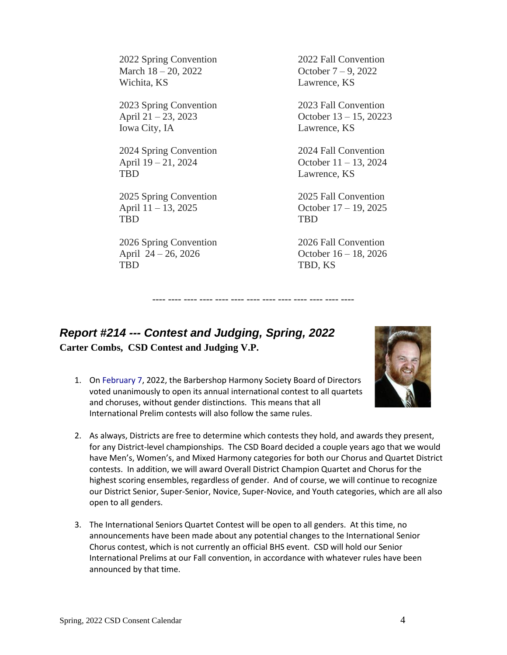2022 Spring Convention 2022 Fall Convention March 18 – 20, 2022 **October 7** – 9, 2022 Wichita, KS Lawrence, KS

2023 Spring Convention 2023 Fall Convention Iowa City, IA Lawrence, KS

2024 Spring Convention 2024 Fall Convention April 19 – 21, 2024 October 11 – 13, 2024 TBD Lawrence, KS

2025 Spring Convention 2025 Fall Convention April 11 – 13, 2025 October 17 – 19, 2025 TBD TBD

2026 Spring Convention 2026 Fall Convention April 24 – 26, 2026 October 16 – 18, 2026 TBD, KS

April 21 – 23, 2023 October 13 – 15, 20223

<span id="page-3-0"></span>*Report #214 --- Contest and Judging, Spring, 2022* **Carter Combs, CSD Contest and Judging V.P.**

1. On February 7, 2022, the Barbershop Harmony Society Board of Directors voted unanimously to open its annual international contest to all quartets and choruses, without gender distinctions. This means that all International Prelim contests will also follow the same rules.



2. As always, Districts are free to determine which contests they hold, and awards they present, for any District-level championships. The CSD Board decided a couple years ago that we would have Men's, Women's, and Mixed Harmony categories for both our Chorus and Quartet District contests. In addition, we will award Overall District Champion Quartet and Chorus for the highest scoring ensembles, regardless of gender. And of course, we will continue to recognize our District Senior, Super-Senior, Novice, Super-Novice, and Youth categories, which are all also open to all genders.

---- ---- ---- ---- ---- ---- ---- ---- ---- ---- ---- ---- ----

3. The International Seniors Quartet Contest will be open to all genders. At this time, no announcements have been made about any potential changes to the International Senior Chorus contest, which is not currently an official BHS event. CSD will hold our Senior International Prelims at our Fall convention, in accordance with whatever rules have been announced by that time.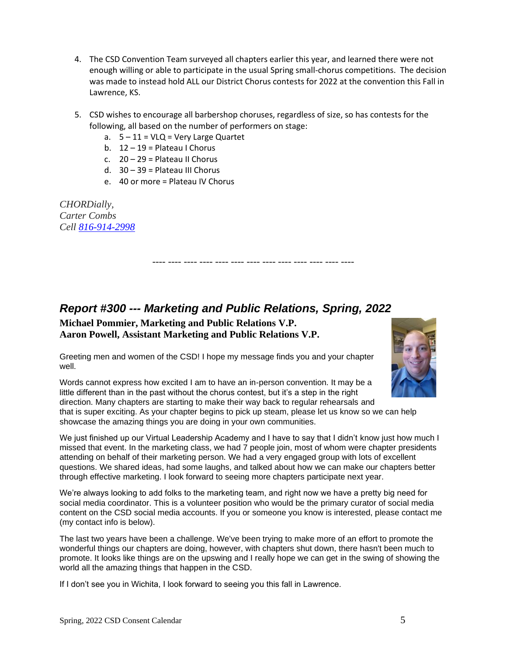- 4. The CSD Convention Team surveyed all chapters earlier this year, and learned there were not enough willing or able to participate in the usual Spring small-chorus competitions. The decision was made to instead hold ALL our District Chorus contests for 2022 at the convention this Fall in Lawrence, KS.
- 5. CSD wishes to encourage all barbershop choruses, regardless of size, so has contests for the following, all based on the number of performers on stage:

---- ---- ---- ---- ---- ---- ---- ---- ---- ---- ---- ---- ----

- a.  $5 11 = VLQ = Very$  Large Quartet
- b.  $12 19 =$  Plateau I Chorus
- c. 20 29 = Plateau II Chorus
- d. 30 39 = Plateau III Chorus
- e. 40 or more = Plateau IV Chorus

*CHORDially, Carter Combs Cell [816-914-2998](callto:816-914-2998)*

# <span id="page-4-0"></span>*Report #300 --- Marketing and Public Relations, Spring, 2022*

**Michael Pommier, Marketing and Public Relations V.P. Aaron Powell, Assistant Marketing and Public Relations V.P.**

Greeting men and women of the CSD! I hope my message finds you and your chapter well.



Words cannot express how excited I am to have an in-person convention. It may be a little different than in the past without the chorus contest, but it's a step in the right direction. Many chapters are starting to make their way back to regular rehearsals and

that is super exciting. As your chapter begins to pick up steam, please let us know so we can help showcase the amazing things you are doing in your own communities.

We just finished up our Virtual Leadership Academy and I have to say that I didn't know just how much I missed that event. In the marketing class, we had 7 people join, most of whom were chapter presidents attending on behalf of their marketing person. We had a very engaged group with lots of excellent questions. We shared ideas, had some laughs, and talked about how we can make our chapters better through effective marketing. I look forward to seeing more chapters participate next year.

We're always looking to add folks to the marketing team, and right now we have a pretty big need for social media coordinator. This is a volunteer position who would be the primary curator of social media content on the CSD social media accounts. If you or someone you know is interested, please contact me (my contact info is below).

The last two years have been a challenge. We've been trying to make more of an effort to promote the wonderful things our chapters are doing, however, with chapters shut down, there hasn't been much to promote. It looks like things are on the upswing and I really hope we can get in the swing of showing the world all the amazing things that happen in the CSD.

If I don't see you in Wichita, I look forward to seeing you this fall in Lawrence.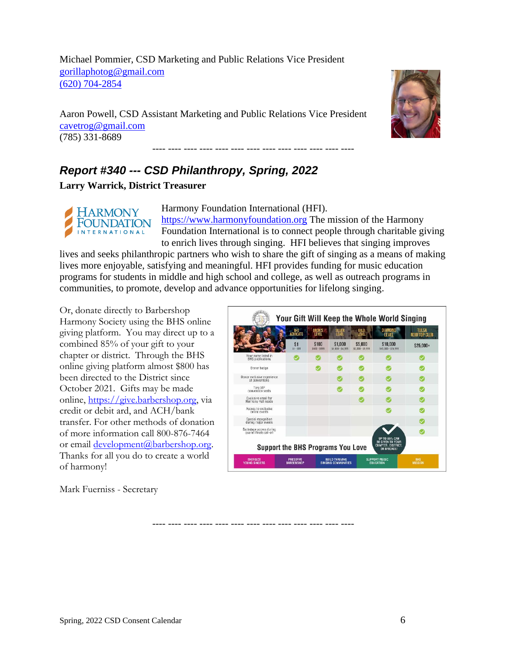Michael Pommier, CSD Marketing and Public Relations Vice President [gorillaphotog@gmail.com](mailto:gorillaphotog@gmail.com) [\(620\) 704-2854](callto:(620)%20704-2854)

Aaron Powell, CSD Assistant Marketing and Public Relations Vice President [cavetrog@gmail.com](mailto:cavetrog@gmail.com) (785) 331-8689



# <span id="page-5-0"></span>*Report #340 --- CSD Philanthropy, Spring, 2022*

**Larry Warrick, District Treasurer**



Harmony Foundation International (HFI).

---- ---- ---- ---- ---- ---- ---- ---- ---- ---- ---- ---- ----

[https://www.harmonyfoundation.org](https://www.harmonyfoundation.org/) The mission of the Harmony Foundation International is to connect people through charitable giving to enrich lives through singing. HFI believes that singing improves

lives and seeks philanthropic partners who wish to share the gift of singing as a means of making lives more enjoyable, satisfying and meaningful. HFI provides funding for music education programs for students in middle and high school and college, as well as outreach programs in communities, to promote, develop and advance opportunities for lifelong singing.

Or, donate directly to Barbershop Harmony Society using the BHS online giving platform. You may direct up to a combined 85% of your gift to your chapter or district. Through the BHS online giving platform almost \$800 has been directed to the District since October 2021. Gifts may be made online, [https://give.barbershop.org,](https://give.barbershop.org/) via credit or debit ard, and ACH/bank transfer. For other methods of donation of more information call 800-876-7464 or email [development@barbershop.org.](mailto:development@barbershop.org) Thanks for all you do to create a world of harmony!

Mark Fuerniss - Secretary

|                                                    | <b>BHS</b><br><b>ADVOCATE</b> | <b>BRONZE</b><br><b>LEVEL</b> | <b>SILVER</b><br>LEVEL       | GOLD<br><b>LEVEL</b>         | <b>DIAMOND</b><br><b>LEVEL</b>                                                       | <b>TULSA</b><br>ROOFTOP CLUB |
|----------------------------------------------------|-------------------------------|-------------------------------|------------------------------|------------------------------|--------------------------------------------------------------------------------------|------------------------------|
|                                                    | \$1<br>$$1 - $99$             | \$100<br>\$100 - \$999        | \$1,000<br>\$1,000 - \$4,999 | \$5,000<br>\$5,000 - \$9,999 | \$10,000<br>\$10,000 - \$24,999                                                      | $$25,000+$                   |
| Your name listed in<br><b>BHS</b> publications     |                               |                               |                              |                              |                                                                                      |                              |
| Donor badge                                        |                               |                               |                              |                              |                                                                                      |                              |
| Donor exclusive experience<br>at conventions       |                               |                               |                              |                              |                                                                                      |                              |
| Two VIP<br>convention seats                        |                               |                               |                              |                              |                                                                                      |                              |
| Exclusive email for<br>Harmony Hall needs          |                               |                               |                              |                              |                                                                                      |                              |
| Access to exclusive<br>online events               |                               |                               |                              |                              |                                                                                      |                              |
| Special recognition<br>during major events.        |                               |                               |                              |                              |                                                                                      |                              |
| Backstage access during<br>quartet Finals call-off |                               |                               |                              |                              |                                                                                      |                              |
| <b>Support the BHS Programs You Love</b>           |                               |                               |                              |                              | <b>UP TO 85% CAN</b><br><b>BE GIVEN TO YOUR</b><br>CHAPTER, DISTRICT,<br>OR BRIGADE! |                              |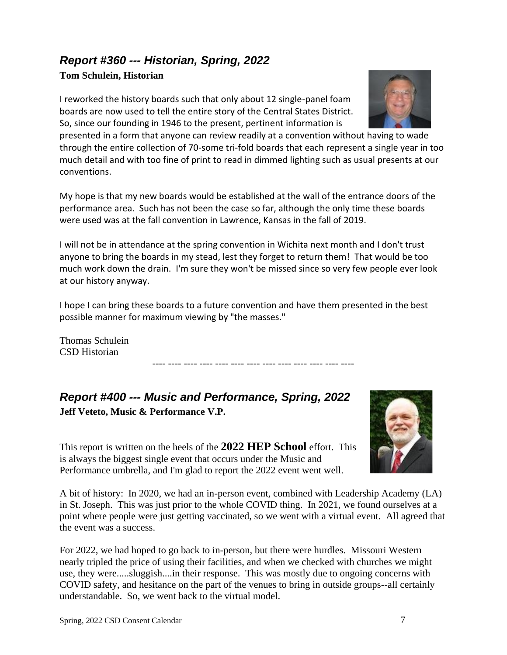# <span id="page-6-0"></span>*Report #360 --- Historian, Spring, 2022*

#### **Tom Schulein, Historian**

I reworked the history boards such that only about 12 single-panel foam boards are now used to tell the entire story of the Central States District. So, since our founding in 1946 to the present, pertinent information is

presented in a form that anyone can review readily at a convention without having to wade through the entire collection of 70-some tri-fold boards that each represent a single year in too much detail and with too fine of print to read in dimmed lighting such as usual presents at our conventions.

My hope is that my new boards would be established at the wall of the entrance doors of the performance area. Such has not been the case so far, although the only time these boards were used was at the fall convention in Lawrence, Kansas in the fall of 2019.

I will not be in attendance at the spring convention in Wichita next month and I don't trust anyone to bring the boards in my stead, lest they forget to return them! That would be too much work down the drain. I'm sure they won't be missed since so very few people ever look at our history anyway.

I hope I can bring these boards to a future convention and have them presented in the best possible manner for maximum viewing by "the masses."

---- ---- ---- ---- ---- ---- ---- ---- ---- ---- ---- ---- ----

Thomas Schulein CSD Historian

<span id="page-6-1"></span>*Report #400 --- Music and Performance, Spring, 2022* **Jeff Veteto, Music & Performance V.P.**

This report is written on the heels of the **2022 HEP School** effort. This is always the biggest single event that occurs under the Music and Performance umbrella, and I'm glad to report the 2022 event went well.

A bit of history: In 2020, we had an in-person event, combined with Leadership Academy (LA) in St. Joseph. This was just prior to the whole COVID thing. In 2021, we found ourselves at a point where people were just getting vaccinated, so we went with a virtual event. All agreed that the event was a success.

For 2022, we had hoped to go back to in-person, but there were hurdles. Missouri Western nearly tripled the price of using their facilities, and when we checked with churches we might use, they were.....sluggish....in their response. This was mostly due to ongoing concerns with COVID safety, and hesitance on the part of the venues to bring in outside groups--all certainly understandable. So, we went back to the virtual model.



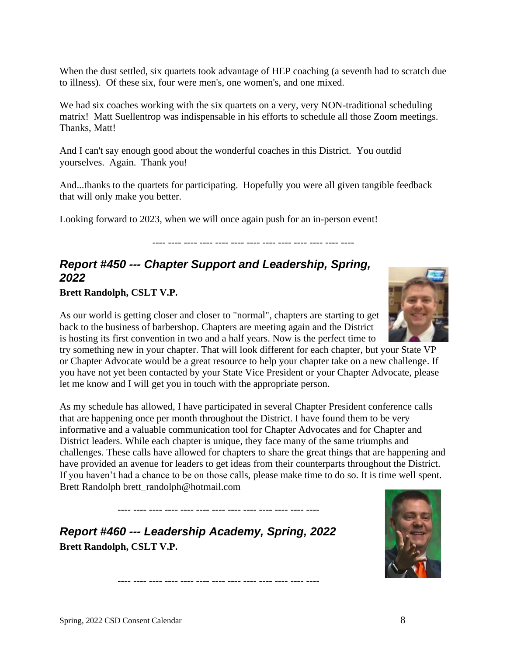When the dust settled, six quartets took advantage of HEP coaching (a seventh had to scratch due to illness). Of these six, four were men's, one women's, and one mixed.

We had six coaches working with the six quartets on a very, very NON-traditional scheduling matrix! Matt Suellentrop was indispensable in his efforts to schedule all those Zoom meetings. Thanks, Matt!

And I can't say enough good about the wonderful coaches in this District. You outdid yourselves. Again. Thank you!

And...thanks to the quartets for participating. Hopefully you were all given tangible feedback that will only make you better.

Looking forward to 2023, when we will once again push for an in-person event!

---- ---- ---- ---- ---- ---- ---- ---- ---- ---- ---- ---- ----

#### <span id="page-7-0"></span>*Report #450 --- Chapter Support and Leadership, Spring, 2022*

#### **Brett Randolph, CSLT V.P.**

As our world is getting closer and closer to "normal", chapters are starting to get back to the business of barbershop. Chapters are meeting again and the District is hosting its first convention in two and a half years. Now is the perfect time to

try something new in your chapter. That will look different for each chapter, but your State VP or Chapter Advocate would be a great resource to help your chapter take on a new challenge. If you have not yet been contacted by your State Vice President or your Chapter Advocate, please let me know and I will get you in touch with the appropriate person.

As my schedule has allowed, I have participated in several Chapter President conference calls that are happening once per month throughout the District. I have found them to be very informative and a valuable communication tool for Chapter Advocates and for Chapter and District leaders. While each chapter is unique, they face many of the same triumphs and challenges. These calls have allowed for chapters to share the great things that are happening and have provided an avenue for leaders to get ideas from their counterparts throughout the District. If you haven't had a chance to be on those calls, please make time to do so. It is time well spent. Brett Randolph brett\_randolph@hotmail.com

---- ---- ---- ---- ---- ---- ---- ---- ---- ---- ---- ---- ----

---- ---- ---- ---- ---- ---- ---- ---- ---- ---- ---- ---- ----

<span id="page-7-1"></span>*Report #460 --- Leadership Academy, Spring, 2022* **Brett Randolph, CSLT V.P.** 



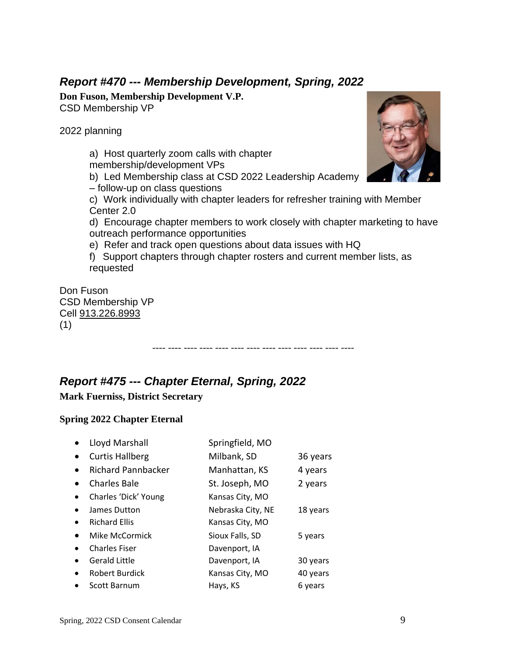## <span id="page-8-0"></span>*Report #470 --- Membership Development, Spring, 2022*

**Don Fuson, Membership Development V.P.**  CSD Membership VP

2022 planning

a) Host quarterly zoom calls with chapter membership/development VPs b) Led Membership class at CSD 2022 Leadership Academy – follow-up on class questions c) Work individually with chapter leaders for refresher training with Member Center 2.0 d) Encourage chapter members to work closely with chapter marketing to have outreach performance opportunities e) Refer and track open questions about data issues with HQ f) Support chapters through chapter rosters and current member lists, as requested Don Fuson CSD Membership VP Cell [913.226.8993](callto:913.226.8993)

---- ---- ---- ---- ---- ---- ---- ---- ---- ---- ---- ---- ----

(1)

<span id="page-8-1"></span>*Report #475 --- Chapter Eternal, Spring, 2022* 

**Mark Fuerniss, District Secretary** 

#### **Spring 2022 Chapter Eternal**

|           | Lloyd Marshall            | Springfield, MO   |          |
|-----------|---------------------------|-------------------|----------|
|           | <b>Curtis Hallberg</b>    | Milbank, SD       | 36 years |
|           | <b>Richard Pannbacker</b> | Manhattan, KS     | 4 years  |
|           | <b>Charles Bale</b>       | St. Joseph, MO    | 2 years  |
|           | Charles 'Dick' Young      | Kansas City, MO   |          |
|           | James Dutton              | Nebraska City, NE | 18 years |
| $\bullet$ | <b>Richard Ellis</b>      | Kansas City, MO   |          |
|           | Mike McCormick            | Sioux Falls, SD   | 5 years  |
|           | <b>Charles Fiser</b>      | Davenport, IA     |          |
|           | <b>Gerald Little</b>      | Davenport, IA     | 30 years |
|           | <b>Robert Burdick</b>     | Kansas City, MO   | 40 years |
|           | <b>Scott Barnum</b>       | Hays, KS          | 6 years  |

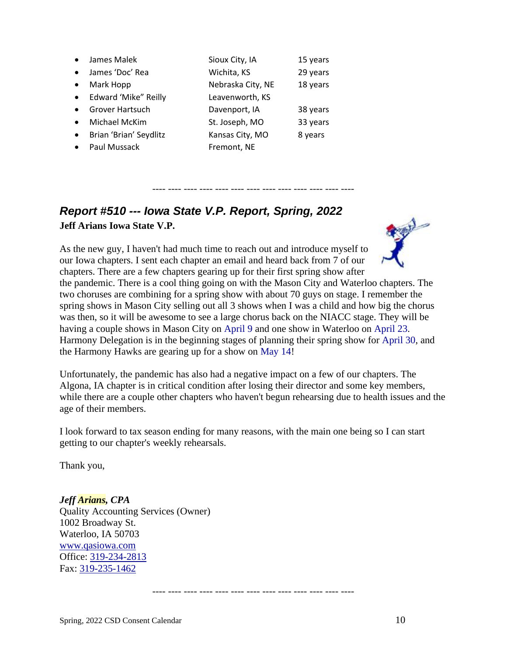|           | James Malek            | Sioux City, IA    | 15 years |
|-----------|------------------------|-------------------|----------|
|           | James 'Doc' Rea        | Wichita, KS       | 29 years |
|           | Mark Hopp              | Nebraska City, NE | 18 years |
| $\bullet$ | Edward 'Mike" Reilly   | Leavenworth, KS   |          |
|           | <b>Grover Hartsuch</b> | Davenport, IA     | 38 years |
| $\bullet$ | Michael McKim          | St. Joseph, MO    | 33 years |
| $\bullet$ | Brian 'Brian' Seydlitz | Kansas City, MO   | 8 years  |
|           | Paul Mussack           | Fremont, NE       |          |

# <span id="page-9-0"></span>*Report #510 --- Iowa State V.P. Report, Spring, 2022* **Jeff Arians Iowa State V.P.**

As the new guy, I haven't had much time to reach out and introduce myself to our Iowa chapters. I sent each chapter an email and heard back from 7 of our chapters. There are a few chapters gearing up for their first spring show after



the pandemic. There is a cool thing going on with the Mason City and Waterloo chapters. The two choruses are combining for a spring show with about 70 guys on stage. I remember the spring shows in Mason City selling out all 3 shows when I was a child and how big the chorus was then, so it will be awesome to see a large chorus back on the NIACC stage. They will be having a couple shows in Mason City on April 9 and one show in Waterloo on April 23. Harmony Delegation is in the beginning stages of planning their spring show for April 30, and the Harmony Hawks are gearing up for a show on May 14!

---- ---- ---- ---- ---- ---- ---- ---- ---- ---- ---- ---- ----

Unfortunately, the pandemic has also had a negative impact on a few of our chapters. The Algona, IA chapter is in critical condition after losing their director and some key members, while there are a couple other chapters who haven't begun rehearsing due to health issues and the age of their members.

I look forward to tax season ending for many reasons, with the main one being so I can start getting to our chapter's weekly rehearsals.

Thank you,

*Jeff Arians, CPA* Quality Accounting Services (Owner) 1002 Broadway St. Waterloo, IA 50703 [www.qasiowa.com](http://www.qasiowa.com/) Office: [319-234-2813](callto:319-234-2813) Fax: [319-235-1462](callto:319-235-1462)

---- ---- ---- ---- ---- ---- ---- ---- ---- ---- ---- ---- ----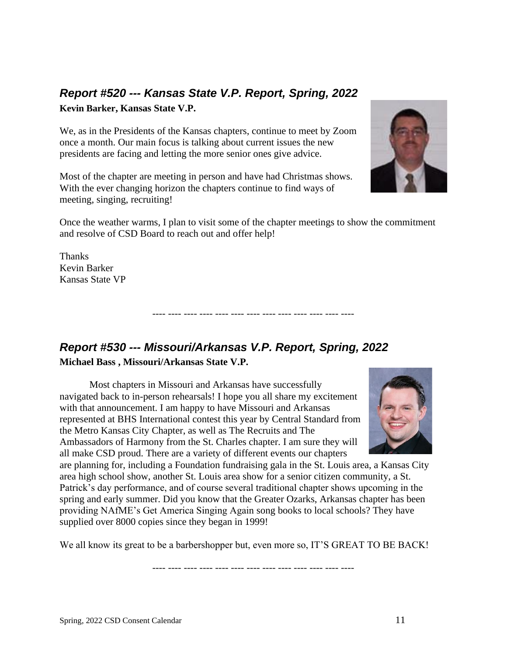# <span id="page-10-0"></span>*Report #520 --- Kansas State V.P. Report, Spring, 2022*

**Kevin Barker, Kansas State V.P.**

We, as in the Presidents of the Kansas chapters, continue to meet by Zoom once a month. Our main focus is talking about current issues the new presidents are facing and letting the more senior ones give advice.

Most of the chapter are meeting in person and have had Christmas shows. With the ever changing horizon the chapters continue to find ways of meeting, singing, recruiting!



Once the weather warms, I plan to visit some of the chapter meetings to show the commitment and resolve of CSD Board to reach out and offer help!

---- ---- ---- ---- ---- ---- ---- ---- ---- ---- ---- ---- ----

Thanks Kevin Barker Kansas State VP

# <span id="page-10-1"></span>*Report #530 --- Missouri/Arkansas V.P. Report, Spring, 2022* **Michael Bass , Missouri/Arkansas State V.P.**

Most chapters in Missouri and Arkansas have successfully navigated back to in-person rehearsals! I hope you all share my excitement with that announcement. I am happy to have Missouri and Arkansas represented at BHS International contest this year by Central Standard from the Metro Kansas City Chapter, as well as The Recruits and The Ambassadors of Harmony from the St. Charles chapter. I am sure they will all make CSD proud. There are a variety of different events our chapters



are planning for, including a Foundation fundraising gala in the St. Louis area, a Kansas City area high school show, another St. Louis area show for a senior citizen community, a St. Patrick's day performance, and of course several traditional chapter shows upcoming in the spring and early summer. Did you know that the Greater Ozarks, Arkansas chapter has been providing NAfME's Get America Singing Again song books to local schools? They have supplied over 8000 copies since they began in 1999!

We all know its great to be a barbershopper but, even more so, IT'S GREAT TO BE BACK!

---- ---- ---- ---- ---- ---- ---- ---- ---- ---- ---- ---- ----

Spring, 2022 CSD Consent Calendar 11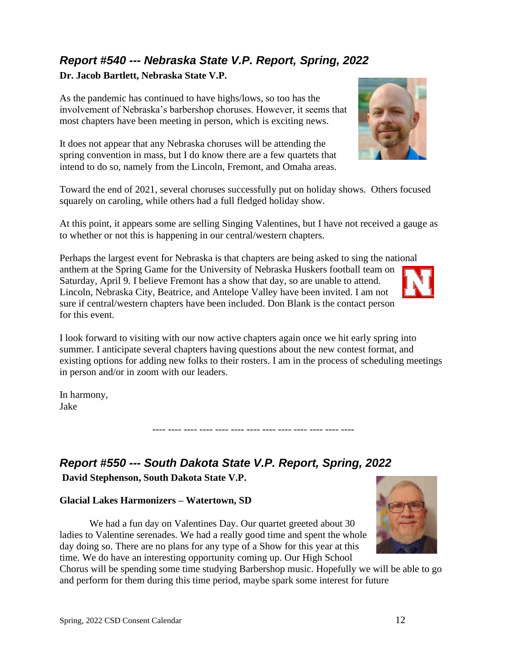#### **Dr. Jacob Bartlett, Nebraska State V.P.**

<span id="page-11-0"></span>*Report #540 --- Nebraska State V.P. Report, Spring, 2022*

As the pandemic has continued to have highs/lows, so too has the involvement of Nebraska's barbershop choruses. However, it seems that most chapters have been meeting in person, which is exciting news.

It does not appear that any Nebraska choruses will be attending the spring convention in mass, but I do know there are a few quartets that intend to do so, namely from the Lincoln, Fremont, and Omaha areas.

Toward the end of 2021, several choruses successfully put on holiday shows. Others focused squarely on caroling, while others had a full fledged holiday show.

At this point, it appears some are selling Singing Valentines, but I have not received a gauge as to whether or not this is happening in our central/western chapters.

Perhaps the largest event for Nebraska is that chapters are being asked to sing the national anthem at the Spring Game for the University of Nebraska Huskers football team on Saturday, April 9. I believe Fremont has a show that day, so are unable to attend. Lincoln, Nebraska City, Beatrice, and Antelope Valley have been invited. I am not sure if central/western chapters have been included. Don Blank is the contact person for this event.

I look forward to visiting with our now active chapters again once we hit early spring into summer. I anticipate several chapters having questions about the new contest format, and existing options for adding new folks to their rosters. I am in the process of scheduling meetings in person and/or in zoom with our leaders.

---- ---- ---- ---- ---- ---- ---- ---- ---- ---- ---- ---- ----

In harmony, Jake

## <span id="page-11-1"></span>*Report #550 --- South Dakota State V.P. Report, Spring, 2022*

**David Stephenson, South Dakota State V.P.**

#### **Glacial Lakes Harmonizers – Watertown, SD**

We had a fun day on Valentines Day. Our quartet greeted about 30 ladies to Valentine serenades. We had a really good time and spent the whole day doing so. There are no plans for any type of a Show for this year at this time. We do have an interesting opportunity coming up. Our High School

Chorus will be spending some time studying Barbershop music. Hopefully we will be able to go and perform for them during this time period, maybe spark some interest for future





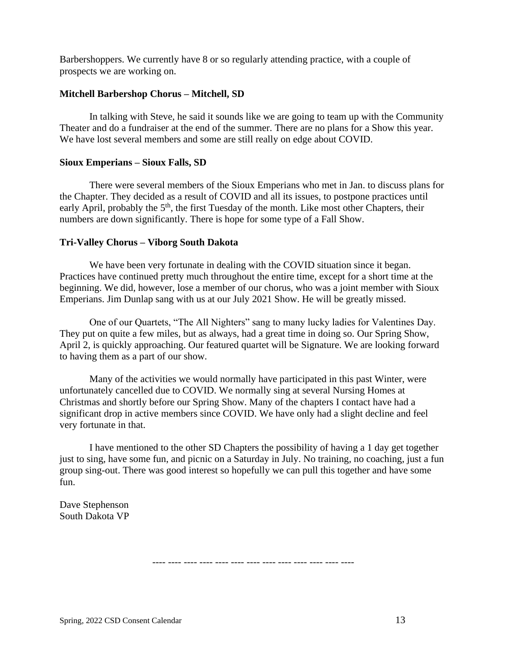Barbershoppers. We currently have 8 or so regularly attending practice, with a couple of prospects we are working on.

#### **Mitchell Barbershop Chorus – Mitchell, SD**

In talking with Steve, he said it sounds like we are going to team up with the Community Theater and do a fundraiser at the end of the summer. There are no plans for a Show this year. We have lost several members and some are still really on edge about COVID.

#### **Sioux Emperians – Sioux Falls, SD**

There were several members of the Sioux Emperians who met in Jan. to discuss plans for the Chapter. They decided as a result of COVID and all its issues, to postpone practices until early April, probably the 5<sup>th</sup>, the first Tuesday of the month. Like most other Chapters, their numbers are down significantly. There is hope for some type of a Fall Show.

#### **Tri-Valley Chorus – Viborg South Dakota**

We have been very fortunate in dealing with the COVID situation since it began. Practices have continued pretty much throughout the entire time, except for a short time at the beginning. We did, however, lose a member of our chorus, who was a joint member with Sioux Emperians. Jim Dunlap sang with us at our July 2021 Show. He will be greatly missed.

One of our Quartets, "The All Nighters" sang to many lucky ladies for Valentines Day. They put on quite a few miles, but as always, had a great time in doing so. Our Spring Show, April 2, is quickly approaching. Our featured quartet will be Signature. We are looking forward to having them as a part of our show.

Many of the activities we would normally have participated in this past Winter, were unfortunately cancelled due to COVID. We normally sing at several Nursing Homes at Christmas and shortly before our Spring Show. Many of the chapters I contact have had a significant drop in active members since COVID. We have only had a slight decline and feel very fortunate in that.

I have mentioned to the other SD Chapters the possibility of having a 1 day get together just to sing, have some fun, and picnic on a Saturday in July. No training, no coaching, just a fun group sing-out. There was good interest so hopefully we can pull this together and have some fun.

Dave Stephenson South Dakota VP

---- ---- ---- ---- ---- ---- ---- ---- ---- ---- ---- ---- ----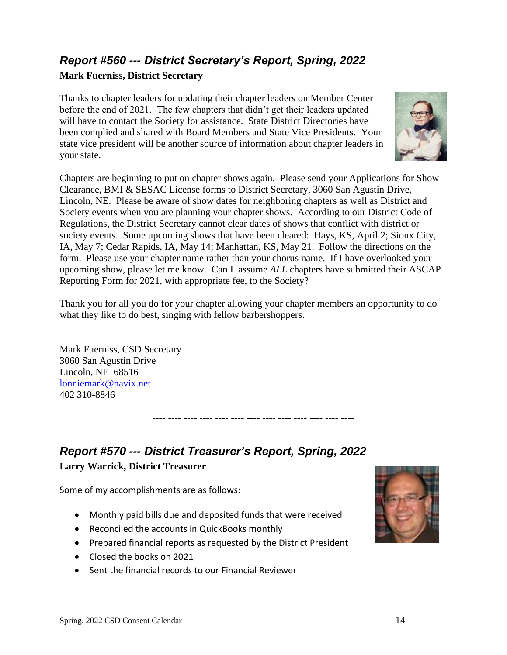# <span id="page-13-0"></span>*Report #560 --- District Secretary's Report, Spring, 2022*

#### **Mark Fuerniss, District Secretary**

Thanks to chapter leaders for updating their chapter leaders on Member Center before the end of 2021. The few chapters that didn't get their leaders updated will have to contact the Society for assistance. State District Directories have been complied and shared with Board Members and State Vice Presidents. Your state vice president will be another source of information about chapter leaders in your state.



Chapters are beginning to put on chapter shows again. Please send your Applications for Show Clearance, BMI & SESAC License forms to District Secretary, 3060 San Agustin Drive, Lincoln, NE. Please be aware of show dates for neighboring chapters as well as District and Society events when you are planning your chapter shows. According to our District Code of Regulations, the District Secretary cannot clear dates of shows that conflict with district or society events. Some upcoming shows that have been cleared: Hays, KS, April 2; Sioux City, IA, May 7; Cedar Rapids, IA, May 14; Manhattan, KS, May 21. Follow the directions on the form. Please use your chapter name rather than your chorus name. If I have overlooked your upcoming show, please let me know. Can I assume *ALL* chapters have submitted their ASCAP Reporting Form for 2021, with appropriate fee, to the Society?

Thank you for all you do for your chapter allowing your chapter members an opportunity to do what they like to do best, singing with fellow barbershoppers.

---- ---- ---- ---- ---- ---- ---- ---- ---- ---- ---- ---- ----

Mark Fuerniss, CSD Secretary 3060 San Agustin Drive Lincoln, NE 68516 [lonniemark@navix.net](mailto:lonniemark@navix.net) 402 310-8846

# <span id="page-13-1"></span>*Report #570 --- District Treasurer's Report, Spring, 2022* **Larry Warrick, District Treasurer**

Some of my accomplishments are as follows:

- Monthly paid bills due and deposited funds that were received
- Reconciled the accounts in QuickBooks monthly
- Prepared financial reports as requested by the District President
- Closed the books on 2021
- Sent the financial records to our Financial Reviewer

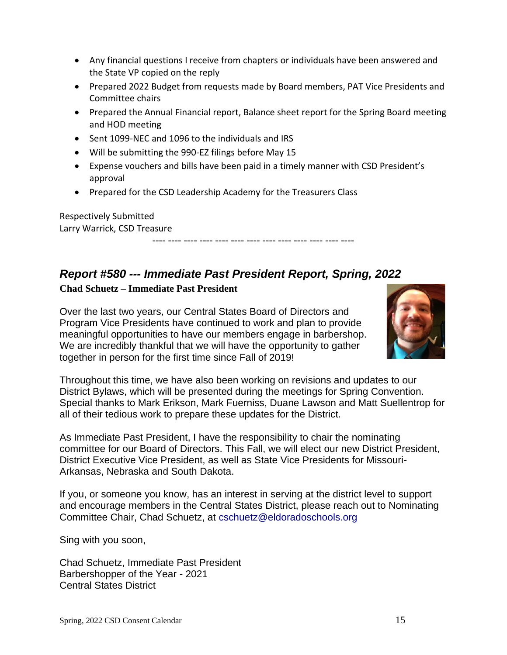- Any financial questions I receive from chapters or individuals have been answered and the State VP copied on the reply
- Prepared 2022 Budget from requests made by Board members, PAT Vice Presidents and Committee chairs
- Prepared the Annual Financial report, Balance sheet report for the Spring Board meeting and HOD meeting
- Sent 1099-NEC and 1096 to the individuals and IRS
- Will be submitting the 990-EZ filings before May 15
- Expense vouchers and bills have been paid in a timely manner with CSD President's approval

---- ---- ---- ---- ---- ---- ---- ---- ---- ---- ---- ---- ----

• Prepared for the CSD Leadership Academy for the Treasurers Class

Respectively Submitted Larry Warrick, CSD Treasure

## <span id="page-14-0"></span>*Report #580 --- Immediate Past President Report, Spring, 2022*

#### **Chad Schuetz – Immediate Past President**

Over the last two years, our Central States Board of Directors and Program Vice Presidents have continued to work and plan to provide meaningful opportunities to have our members engage in barbershop. We are incredibly thankful that we will have the opportunity to gather together in person for the first time since Fall of 2019!



Throughout this time, we have also been working on revisions and updates to our District Bylaws, which will be presented during the meetings for Spring Convention. Special thanks to Mark Erikson, Mark Fuerniss, Duane Lawson and Matt Suellentrop for all of their tedious work to prepare these updates for the District.

As Immediate Past President, I have the responsibility to chair the nominating committee for our Board of Directors. This Fall, we will elect our new District President, District Executive Vice President, as well as State Vice Presidents for Missouri-Arkansas, Nebraska and South Dakota.

If you, or someone you know, has an interest in serving at the district level to support and encourage members in the Central States District, please reach out to Nominating Committee Chair, Chad Schuetz, at [cschuetz@eldoradoschools.org](mailto:cschuetz@eldoradoschools.org)

Sing with you soon,

Chad Schuetz, Immediate Past President Barbershopper of the Year - 2021 Central States District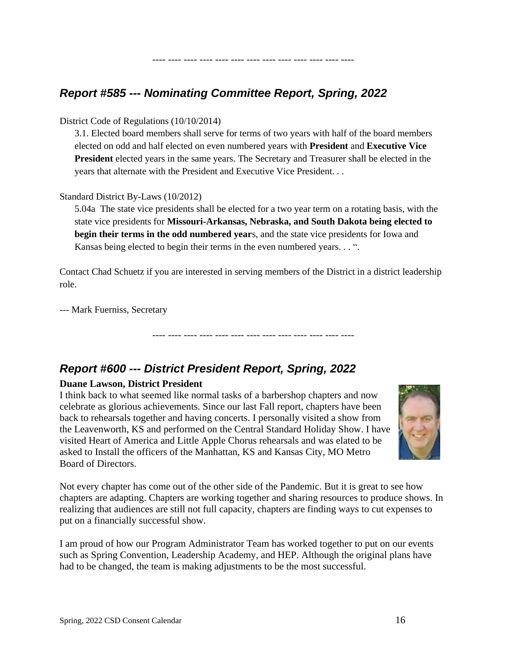## <span id="page-15-0"></span>*Report #585 --- Nominating Committee Report, Spring, 2022*

#### District Code of Regulations (10/10/2014)

3.1. Elected board members shall serve for terms of two years with half of the board members elected on odd and half elected on even numbered years with **President** and **Executive Vice President** elected years in the same years. The Secretary and Treasurer shall be elected in the years that alternate with the President and Executive Vice President. . .

---- ---- ---- ---- ---- ---- ---- ---- ---- ---- ---- ---- ----

#### Standard District By-Laws (10/2012)

5.04a The state vice presidents shall be elected for a two year term on a rotating basis, with the state vice presidents for **Missouri-Arkansas, Nebraska, and South Dakota being elected to begin their terms in the odd numbered year**s, and the state vice presidents for Iowa and Kansas being elected to begin their terms in the even numbered years. . . ".

Contact Chad Schuetz if you are interested in serving members of the District in a district leadership role.

---- ---- ---- ---- ---- ---- ---- ---- ---- ---- ---- ---- ----

--- Mark Fuerniss, Secretary

# <span id="page-15-1"></span>*Report #600 --- District President Report, Spring, 2022*

#### **Duane Lawson, District President**

I think back to what seemed like normal tasks of a barbershop chapters and now celebrate as glorious achievements. Since our last Fall report, chapters have been back to rehearsals together and having concerts. I personally visited a show from the Leavenworth, KS and performed on the Central Standard Holiday Show. I have visited Heart of America and Little Apple Chorus rehearsals and was elated to be asked to Install the officers of the Manhattan, KS and Kansas City, MO Metro Board of Directors.



Not every chapter has come out of the other side of the Pandemic. But it is great to see how chapters are adapting. Chapters are working together and sharing resources to produce shows. In realizing that audiences are still not full capacity, chapters are finding ways to cut expenses to put on a financially successful show.

I am proud of how our Program Administrator Team has worked together to put on our events such as Spring Convention, Leadership Academy, and HEP. Although the original plans have had to be changed, the team is making adjustments to be the most successful.